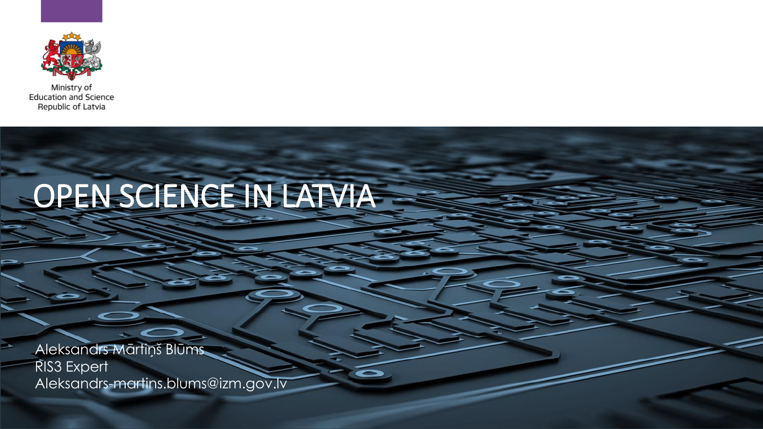

Ministry of **Education and Science** Republic of Latvia

# OPEN SCIENCE IN LATVIA

Aleksandrs Mārtiņš Blūms RIS3 Expert Aleksandrs-martins.blums@izm.gov.lv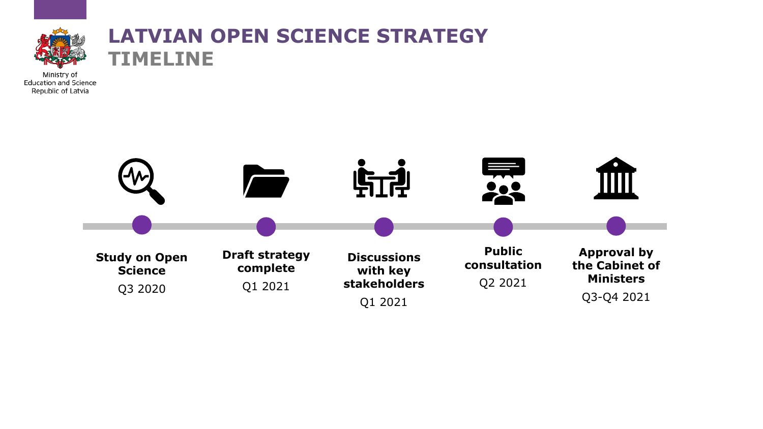

### **LATVIAN OPEN SCIENCE STRATEGY TIMELINE**

Ministry of **Education and Science** Republic of Latvia

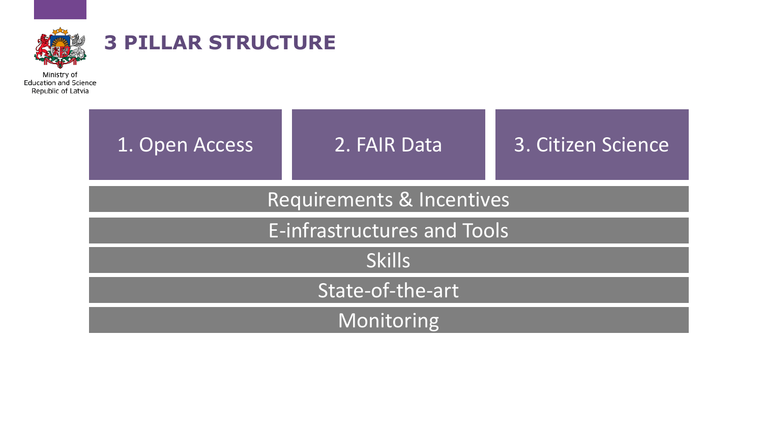

### **3 PILLAR STRUCTURE**

Ministry of<br>Education and Science<br>Republic of Latvia

| 1. Open Access              | 2. FAIR Data | 3. Citizen Science |  |  |  |  |  |  |
|-----------------------------|--------------|--------------------|--|--|--|--|--|--|
| Requirements & Incentives   |              |                    |  |  |  |  |  |  |
| E-infrastructures and Tools |              |                    |  |  |  |  |  |  |
| <b>Skills</b>               |              |                    |  |  |  |  |  |  |
| State-of-the-art            |              |                    |  |  |  |  |  |  |
| Monitoring                  |              |                    |  |  |  |  |  |  |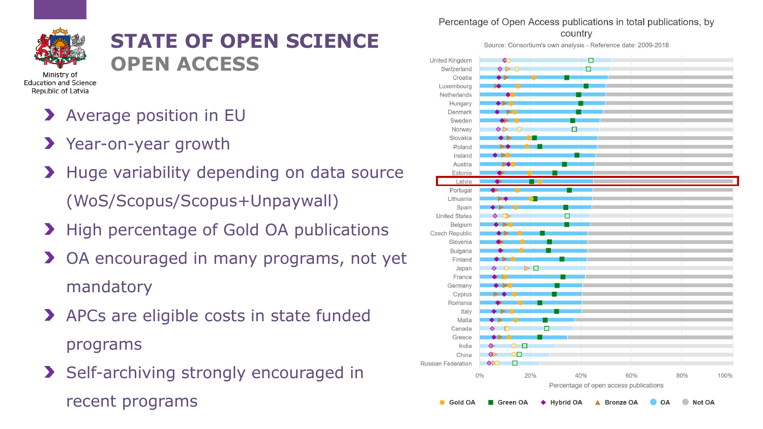

#### **STATE OF OPEN SCIENCE OPEN ACCESS**

**Education and Science** 

- **>** Average position in EU
- Year-on-year growth
- > Huge variability depending on data source (WoS/Scopus/Scopus+Unpaywall)
- **>** High percentage of Gold OA publications
- **>** OA encouraged in many programs, not yet mandatory
- APCs are eligible costs in state funded programs
- Self-archiving strongly encouraged in recent programs

Percentage of Open Access publications in total publications, by

country

Source: Consortium's own analysis - Reference date: 2009-2018

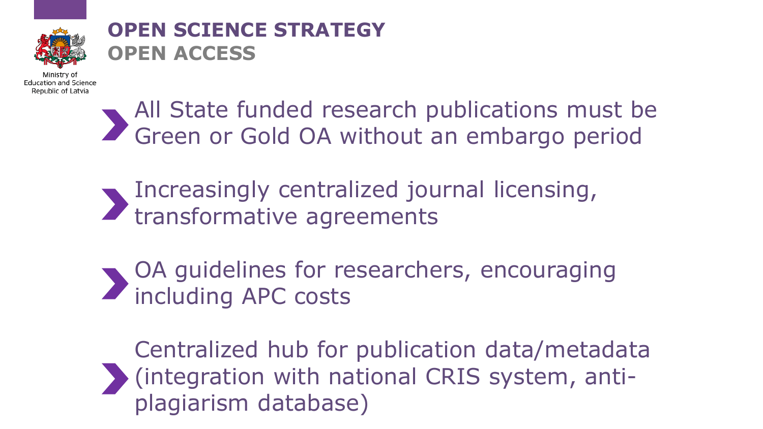

### **OPEN SCIENCE STRATEGY OPEN ACCESS**

Ministry o Education and Science Republic of Latvia

> All State funded research publications must be Green or Gold OA without an embargo period

- Increasingly centralized journal licensing, transformative agreements
- OA guidelines for researchers, encouraging including APC costs

Centralized hub for publication data/metadata (integration with national CRIS system, antiplagiarism database)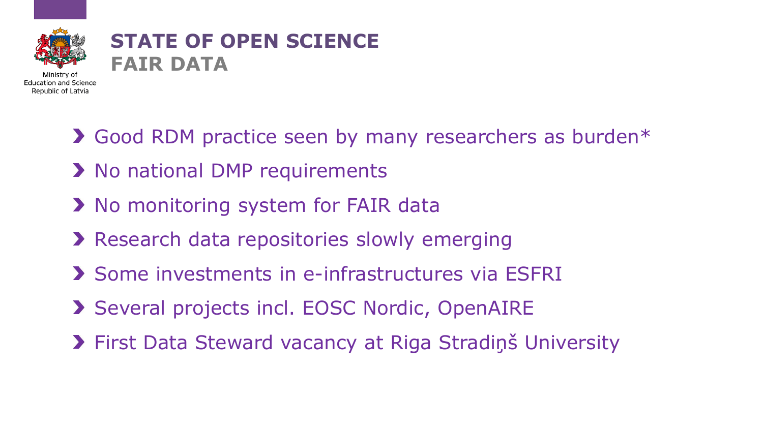

#### **STATE OF OPEN SCIENCE FAIR DATA**

- Good RDM practice seen by many researchers as burden\*
- **> No national DMP requirements**
- > No monitoring system for FAIR data
- **>** Research data repositories slowly emerging
- Some investments in e-infrastructures via ESFRI
- Several projects incl. EOSC Nordic, OpenAIRE
- First Data Steward vacancy at Riga Stradiņš University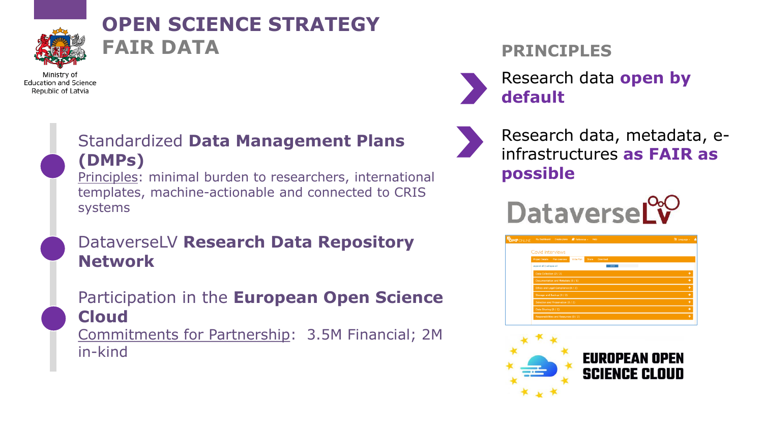

### **OPEN SCIENCE STRATEGY FAIR DATA**

**Education and Science** Republic of Latvia

> Standardized **Data Management Plans (DMPs)**

Principles: minimal burden to researchers, international templates, machine-actionable and connected to CRIS systems

DataverseLV **Research Data Repository Network**

Participation in the **European Open Science Cloud** Commitments for Partnership: 3.5M Financial; 2M in-kind

#### **PRINCIPLES**

Research data **open by default**



Research data, metadata, einfrastructures **as FAIR as possible**

**DataverseLv** 

| <b>DMP</b> ONLINE | My Dashboard                           | Create plans  | Reference v | Help  |          | <b>N</b> Language v |  |
|-------------------|----------------------------------------|---------------|-------------|-------|----------|---------------------|--|
|                   | Covid interviews                       |               |             |       |          |                     |  |
|                   | <b>Project Details</b>                 | Plan overview | Write Plan  | Share | Download |                     |  |
|                   | expand all   collapse all              |               |             |       | 2/13     |                     |  |
|                   | Data Collection (2 / 2)                |               | ٠           |       |          |                     |  |
|                   | Documentation and Metadata (0 / 1)     |               | ٠           |       |          |                     |  |
|                   | Ethics and Legal Compliance (0 / 2)    |               | ٠           |       |          |                     |  |
|                   | Storage and Backup (0 / 2)             |               |             |       |          | ٠                   |  |
|                   | Selection and Preservation (0 / 2)     |               |             |       |          | ٠                   |  |
|                   | Data Sharing (0 / 2)                   |               |             |       |          | ٠                   |  |
|                   | Responsibilities and Resources (0 / 2) |               |             |       |          | ٠                   |  |
|                   |                                        |               |             |       |          |                     |  |

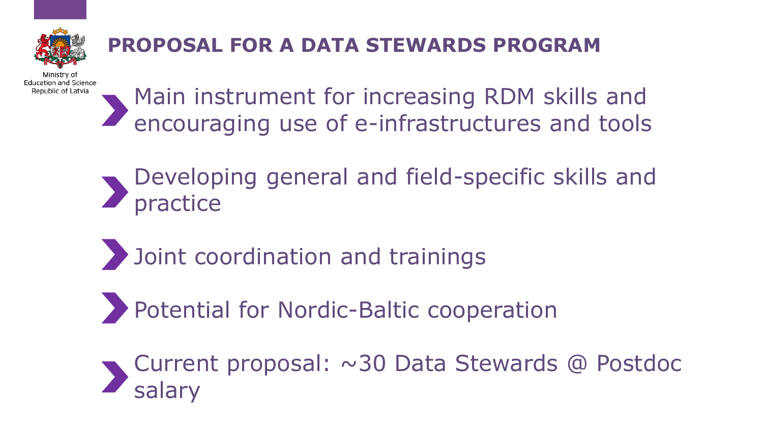

### **PROPOSAL FOR A DATA STEWARDS PROGRAM**

**Education and Science** Republic of Latvia

Main instrument for increasing RDM skills and encouraging use of e-infrastructures and tools

- Developing general and field-specific skills and practice
- **Joint coordination and trainings**
- Potential for Nordic-Baltic cooperation
- Current proposal: ~30 Data Stewards @ Postdoc salary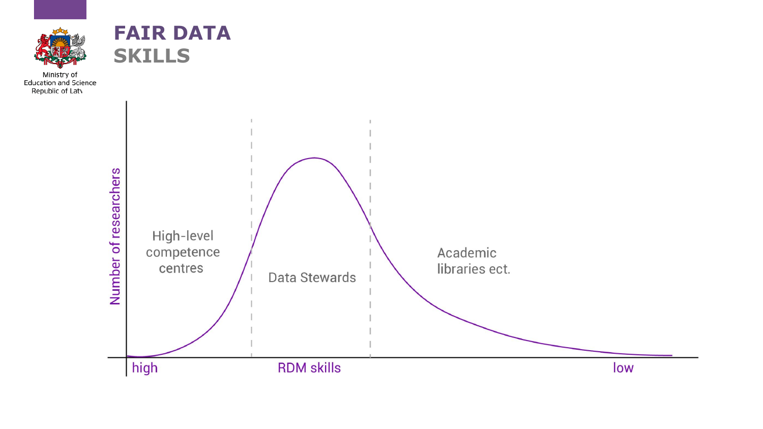



Ministry of<br>Education and Science<br>Republic of Laty

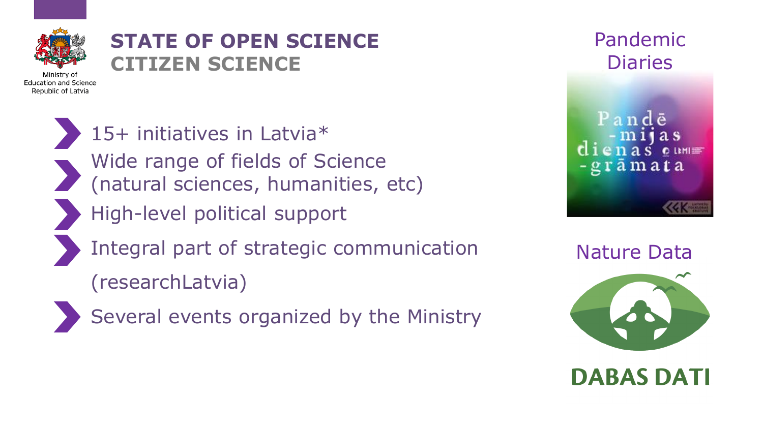

### **STATE OF OPEN SCIENCE CITIZEN SCIENCE**

15+ initiatives in Latvia\* Wide range of fields of Science (natural sciences, humanities, etc) High-level political support Integral part of strategic communication

(researchLatvia)



Several events organized by the Ministry

Pandemic **Diaries** Pandē  ${\bf d}$  i e n a s  ${\bf e}$  um  $\equiv$ -grāmata

Nature Data



**DABAS DATI**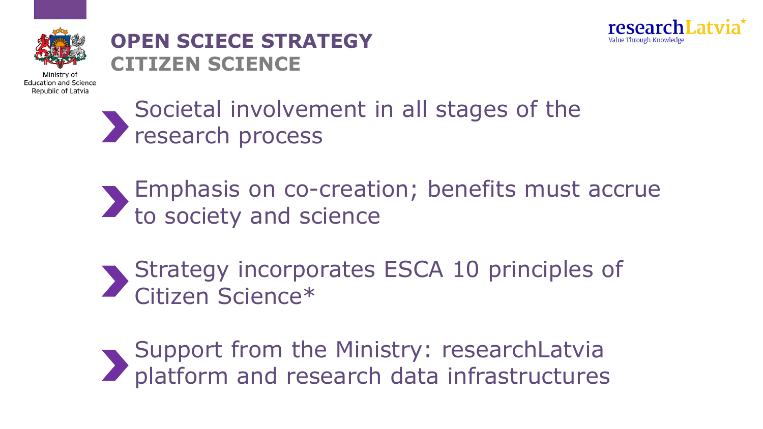



#### **OPEN SCIECE STRATEGY CITIZEN SCIENCE**

Societal involvement in all stages of the research process

- Emphasis on co-creation; benefits must accrue to society and science
- Strategy incorporates ESCA 10 principles of Citizen Science\*

Support from the Ministry: researchLatvia platform and research data infrastructures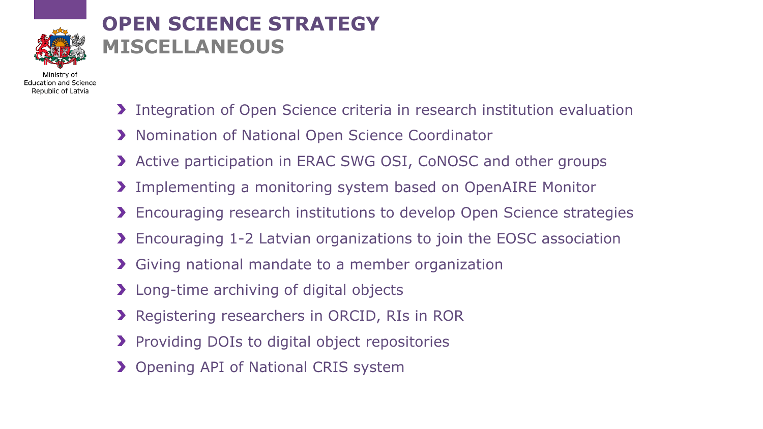

### **OPEN SCIENCE STRATEGY MISCELLANEOUS**

**Education and Science** Republic of Latvia

- **Integration of Open Science criteria in research institution evaluation**
- **X** Nomination of National Open Science Coordinator
- **> Active participation in ERAC SWG OSI, CoNOSC and other groups**
- Implementing a monitoring system based on OpenAIRE Monitor
- **Encouraging research institutions to develop Open Science strategies**
- Encouraging 1-2 Latvian organizations to join the EOSC association
- Giving national mandate to a member organization
- **>** Long-time archiving of digital objects
- **>** Registering researchers in ORCID, RIs in ROR
- **Providing DOIs to digital object repositories**
- **>** Opening API of National CRIS system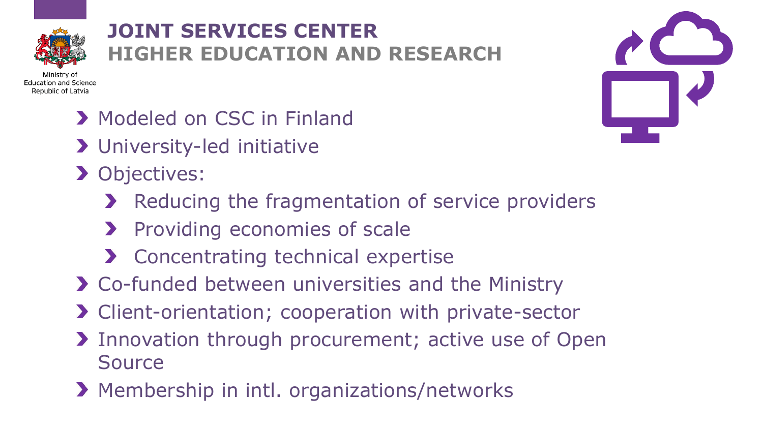

### **JOINT SERVICES CENTER HIGHER EDUCATION AND RESEARCH**

Ministry o **Education and Science** Republic of Latvia

- **> Modeled on CSC in Finland**
- University-led initiative
- **> Objectives:** 
	- Reducing the fragmentation of service providers
	- **>** Providing economies of scale
	- **>** Concentrating technical expertise
- Co-funded between universities and the Ministry
- > Client-orientation; cooperation with private-sector
- Innovation through procurement; active use of Open Source
- **> Membership in intl. organizations/networks**

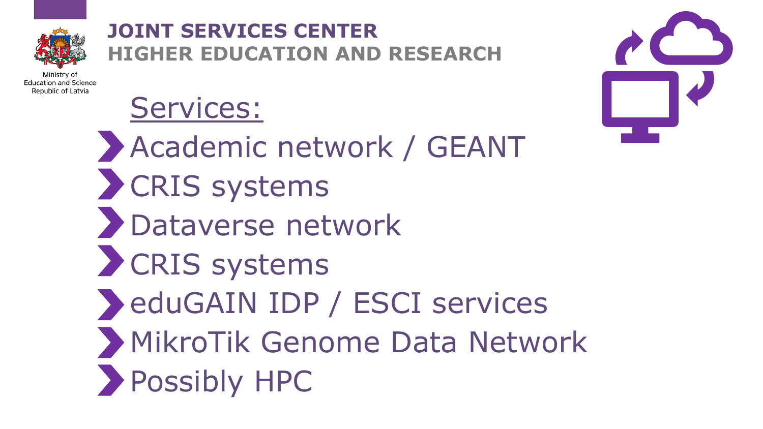

### **JOINT SERVICES CENTER HIGHER EDUCATION AND RESEARCH**

Ministry of **Education and Science** Republic of Latvia

## Services:

Academic network / GEANT **>> CRIS systems** Dataverse network **>>** CRIS systems eduGAIN IDP / ESCI services MikroTik Genome Data Network Possibly HPC